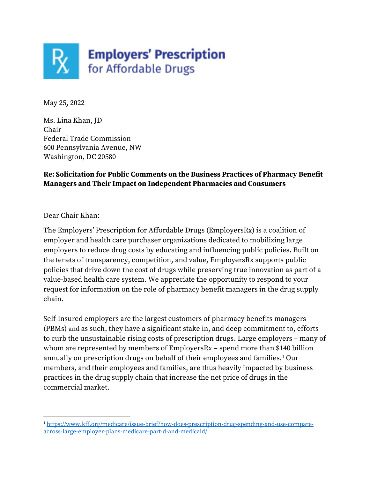

May 25, 2022

Ms. Lina Khan, JD Chair Federal Trade Commission 600 Pennsylvania Avenue, NW Washington, DC 20580

# **Re: Solicitation for Public Comments on the Business Practices of Pharmacy Benefit Managers and Their Impact on Independent Pharmacies and Consumers**

Dear Chair Khan:

The Employers' Prescription for Affordable Drugs (EmployersRx) is a coalition of employer and health care purchaser organizations dedicated to mobilizing large employers to reduce drug costs by educating and influencing public policies. Built on the tenets of transparency, competition, and value, EmployersRx supports public policies that drive down the cost of drugs while preserving true innovation as part of a value-based health care system. We appreciate the opportunity to respond to your request for information on the role of pharmacy benefit managers in the drug supply chain.

Self-insured employers are the largest customers of pharmacy benefits managers (PBMs) and as such, they have a significant stake in, and deep commitment to, efforts to curb the unsustainable rising costs of prescription drugs. Large employers – many of whom are represented by members of EmployersRx – spend more than \$140 billion annually on prescription drugs on behalf of their employees and families.<sup>1</sup> Our members, and their employees and families, are thus heavily impacted by business practices in the drug supply chain that increase the net price of drugs in the commercial market.

<sup>1</sup> [https://www.kff.org/medicare/issue-brief/how-does-prescription-drug-spending-and-use-compare](https://www.kff.org/medicare/issue-brief/how-does-prescription-drug-spending-and-use-compare-across-large-employer-plans-medicare-part-d-and-medicaid/)[across-large-employer-plans-medicare-part-d-and-medicaid/](https://www.kff.org/medicare/issue-brief/how-does-prescription-drug-spending-and-use-compare-across-large-employer-plans-medicare-part-d-and-medicaid/)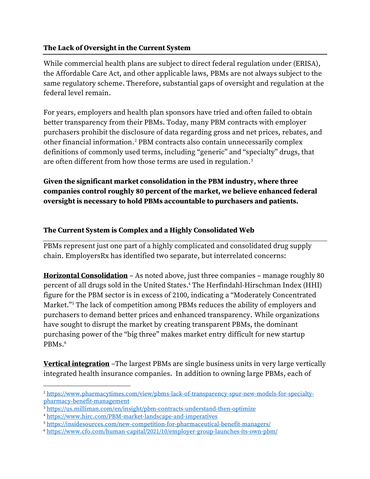# **The Lack of Oversight in the Current System**

While commercial health plans are subject to direct federal regulation under (ERISA), the Affordable Care Act, and other applicable laws, PBMs are not always subject to the same regulatory scheme. Therefore, substantial gaps of oversight and regulation at the federal level remain.

For years, employers and health plan sponsors have tried and often failed to obtain better transparency from their PBMs. Today, many PBM contracts with employer purchasers prohibit the disclosure of data regarding gross and net prices, rebates, and other financial information.<sup>2</sup> PBM contracts also contain unnecessarily complex definitions of commonly used terms, including "generic" and "specialty" drugs, that are often different from how those terms are used in regulation.<sup>3</sup>

**Given the significant market consolidation in the PBM industry, where three companies control roughly 80 percent of the market, we believe enhanced federal oversight is necessary to hold PBMs accountable to purchasers and patients.**

# **The Current System is Complex and a Highly Consolidated Web**

PBMs represent just one part of a highly complicated and consolidated drug supply chain. EmployersRx has identified two separate, but interrelated concerns:

**Horizontal Consolidation** – As noted above, just three companies – manage roughly 80 percent of all drugs sold in the United States.<sup>4</sup> The Herfindahl-Hirschman Index (HHI) figure for the PBM sector is in excess of 2100, indicating a "Moderately Concentrated Market."<sup>5</sup> The lack of competition among PBMs reduces the ability of employers and purchasers to demand better prices and enhanced transparency. While organizations have sought to disrupt the market by creating transparent PBMs, the dominant purchasing power of the "big three" makes market entry difficult for new startup PBMs.<sup>6</sup>

**Vertical integration** –The largest PBMs are single business units in very large vertically integrated health insurance companies. In addition to owning large PBMs, each of

<sup>&</sup>lt;sup>2</sup> [https://www.pharmacytimes.com/view/pbms-lack-of-transparency-spur-new-models-for-specialty](https://www.pharmacytimes.com/view/pbms-lack-of-transparency-spur-new-models-for-specialty-pharmacy-benefit-management)[pharmacy-benefit-management](https://www.pharmacytimes.com/view/pbms-lack-of-transparency-spur-new-models-for-specialty-pharmacy-benefit-management)

<sup>3</sup> <https://us.milliman.com/en/insight/pbm-contracts-understand-then-optimize>

<sup>4</sup> <https://www.hirc.com/PBM-market-landscape-and-imperatives>

<sup>5</sup> <https://insidesources.com/new-competition-for-pharmaceutical-benefit-managers/>

<sup>6</sup> <https://www.cfo.com/human-capital/2021/10/employer-group-launches-its-own-pbm/>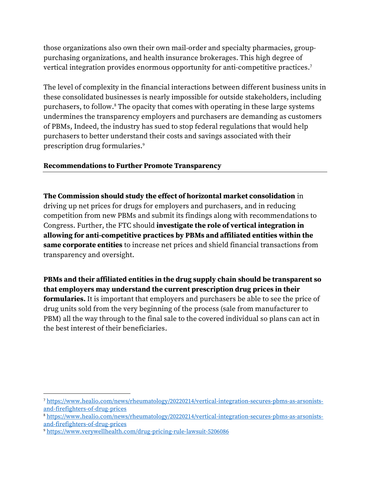those organizations also own their own mail-order and specialty pharmacies, grouppurchasing organizations, and health insurance brokerages. This high degree of vertical integration provides enormous opportunity for anti-competitive practices. 7

The level of complexity in the financial interactions between different business units in these consolidated businesses is nearly impossible for outside stakeholders, including purchasers, to follow.<sup>8</sup> The opacity that comes with operating in these large systems undermines the transparency employers and purchasers are demanding as customers of PBMs, Indeed, the industry has sued to stop federal regulations that would help purchasers to better understand their costs and savings associated with their prescription drug formularies. 9

# **Recommendations to Further Promote Transparency**

**The Commission should study the effect of horizontal market consolidation** in driving up net prices for drugs for employers and purchasers, and in reducing competition from new PBMs and submit its findings along with recommendations to Congress. Further, the FTC should **investigate the role of vertical integration in allowing for anti-competitive practices by PBMs and affiliated entities within the same corporate entities** to increase net prices and shield financial transactions from transparency and oversight.

**PBMs and their affiliated entities in the drug supply chain should be transparent so that employers may understand the current prescription drug prices in their formularies.** It is important that employers and purchasers be able to see the price of drug units sold from the very beginning of the process (sale from manufacturer to PBM) all the way through to the final sale to the covered individual so plans can act in the best interest of their beneficiaries.

<sup>7</sup> [https://www.healio.com/news/rheumatology/20220214/vertical-integration-secures-pbms-as-arsonists](https://www.healio.com/news/rheumatology/20220214/vertical-integration-secures-pbms-as-arsonists-and-firefighters-of-drug-prices)[and-firefighters-of-drug-prices](https://www.healio.com/news/rheumatology/20220214/vertical-integration-secures-pbms-as-arsonists-and-firefighters-of-drug-prices)

<sup>8</sup> [https://www.healio.com/news/rheumatology/20220214/vertical-integration-secures-pbms-as-arsonists](https://www.healio.com/news/rheumatology/20220214/vertical-integration-secures-pbms-as-arsonists-and-firefighters-of-drug-prices)[and-firefighters-of-drug-prices](https://www.healio.com/news/rheumatology/20220214/vertical-integration-secures-pbms-as-arsonists-and-firefighters-of-drug-prices)

<sup>9</sup> <https://www.verywellhealth.com/drug-pricing-rule-lawsuit-5206086>